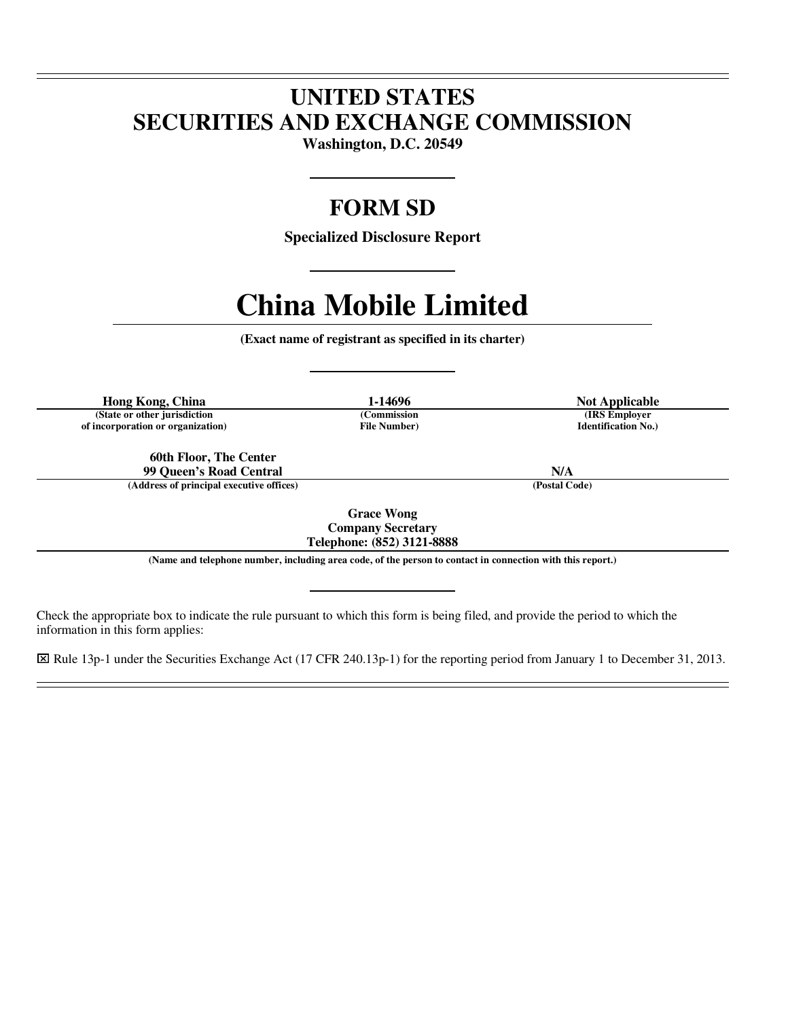## **UNITED STATES SECURITIES AND EXCHANGE COMMISSION**

**Washington, D.C. 20549** 

### **FORM SD**

**Specialized Disclosure Report** 

# **China Mobile Limited**

**(Exact name of registrant as specified in its charter)** 

**Hong Kong, China 1-14696 Not Applicable**<br> **1-14696 Not Applicable**<br> **1-14696 Commission Not Applicable (State or other jurisdiction (Commission (IRS Employer of incorporation or organization) File Number) Identification No.)**

 $\overline{a}$  $\overline{a}$ 

 $\overline{a}$ 

**60th Floor, The Center 99 Queen's Road Central N/A**

**(Address of principal executive offices) (Postal Code)**

**Grace Wong Company Secretary** 

**Telephone: (852) 3121-8888 (Name and telephone number, including area code, of the person to contact in connection with this report.)** 

Check the appropriate box to indicate the rule pursuant to which this form is being filed, and provide the period to which the information in this form applies:

⌧ Rule 13p-1 under the Securities Exchange Act (17 CFR 240.13p-1) for the reporting period from January 1 to December 31, 2013.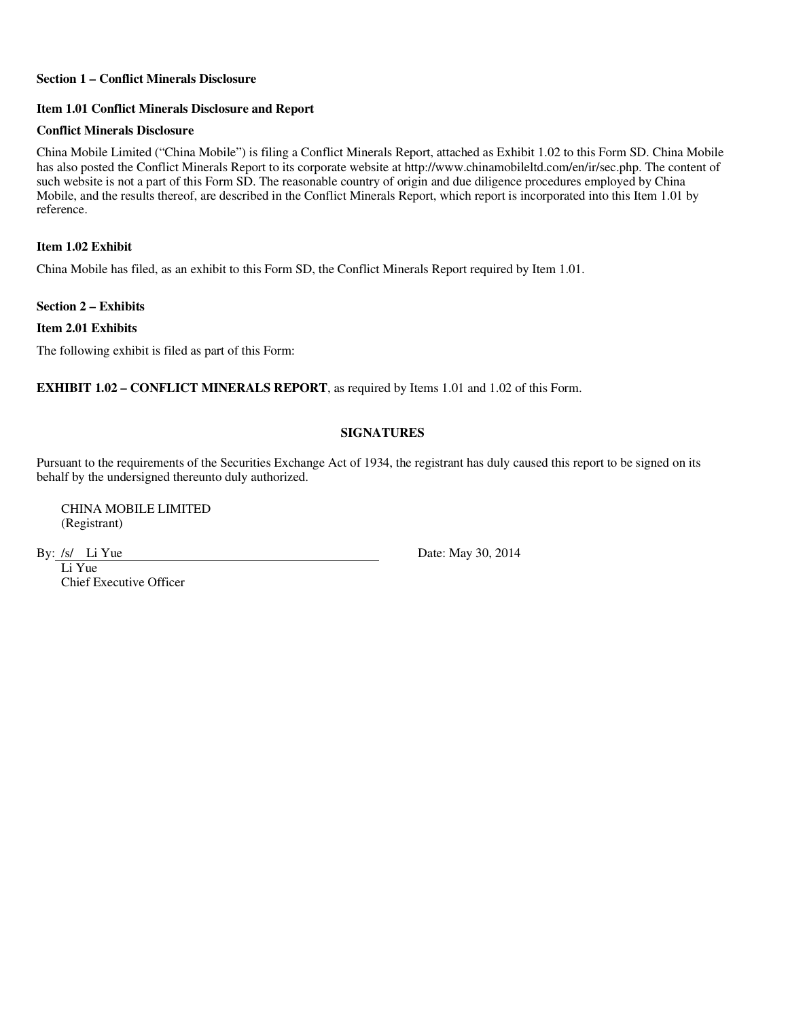#### **Section 1 – Conflict Minerals Disclosure**

#### **Item 1.01 Conflict Minerals Disclosure and Report**

#### **Conflict Minerals Disclosure**

China Mobile Limited ("China Mobile") is filing a Conflict Minerals Report, attached as Exhibit 1.02 to this Form SD. China Mobile has also posted the Conflict Minerals Report to its corporate website at http://www.chinamobileltd.com/en/ir/sec.php. The content of such website is not a part of this Form SD. The reasonable country of origin and due diligence procedures employed by China Mobile, and the results thereof, are described in the Conflict Minerals Report, which report is incorporated into this Item 1.01 by reference.

**Item 1.02 Exhibit** 

China Mobile has filed, as an exhibit to this Form SD, the Conflict Minerals Report required by Item 1.01.

**Section 2 – Exhibits** 

**Item 2.01 Exhibits** 

The following exhibit is filed as part of this Form:

**EXHIBIT 1.02 – CONFLICT MINERALS REPORT**, as required by Items 1.01 and 1.02 of this Form.

### **SIGNATURES**

Pursuant to the requirements of the Securities Exchange Act of 1934, the registrant has duly caused this report to be signed on its behalf by the undersigned thereunto duly authorized.

CHINA MOBILE LIMITED (Registrant)

Li Yue Chief Executive Officer

By: /s/ Li Yue Date: May 30, 2014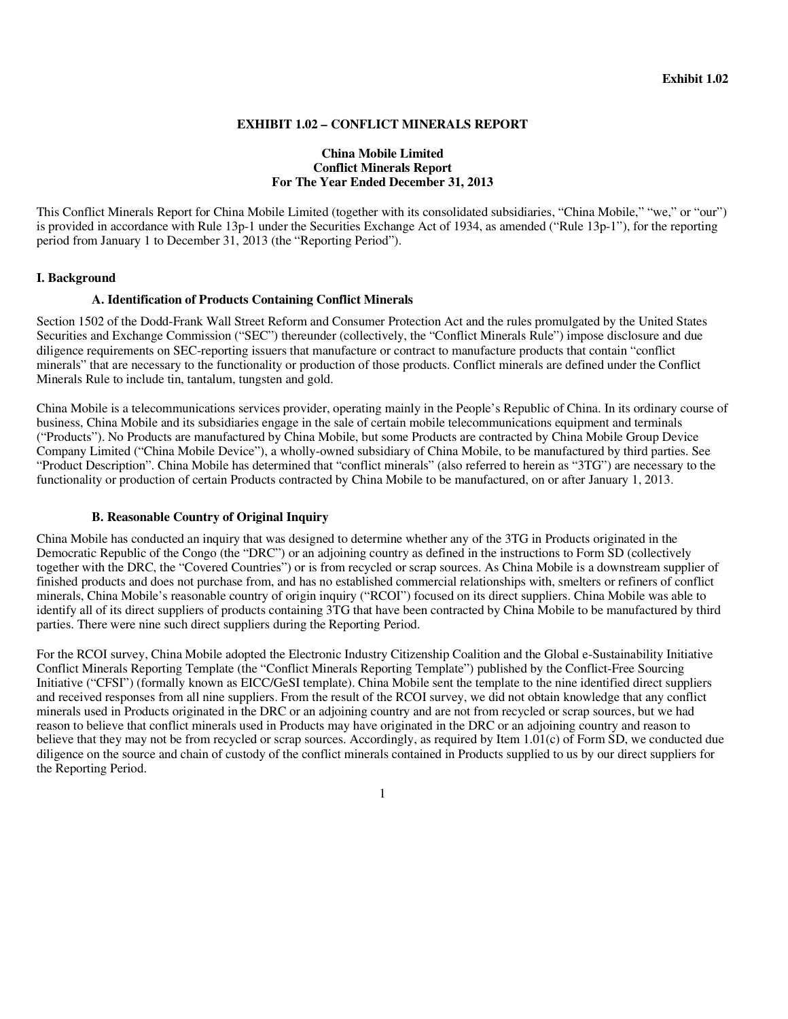#### **EXHIBIT 1.02 – CONFLICT MINERALS REPORT**

#### **China Mobile Limited Conflict Minerals Report For The Year Ended December 31, 2013**

This Conflict Minerals Report for China Mobile Limited (together with its consolidated subsidiaries, "China Mobile," "we," or "our") is provided in accordance with Rule 13p-1 under the Securities Exchange Act of 1934, as amended ("Rule 13p-1"), for the reporting period from January 1 to December 31, 2013 (the "Reporting Period").

#### **I. Background**

#### **A. Identification of Products Containing Conflict Minerals**

Section 1502 of the Dodd-Frank Wall Street Reform and Consumer Protection Act and the rules promulgated by the United States Securities and Exchange Commission ("SEC") thereunder (collectively, the "Conflict Minerals Rule") impose disclosure and due diligence requirements on SEC-reporting issuers that manufacture or contract to manufacture products that contain "conflict minerals" that are necessary to the functionality or production of those products. Conflict minerals are defined under the Conflict Minerals Rule to include tin, tantalum, tungsten and gold.

China Mobile is a telecommunications services provider, operating mainly in the People's Republic of China. In its ordinary course of business, China Mobile and its subsidiaries engage in the sale of certain mobile telecommunications equipment and terminals ("Products"). No Products are manufactured by China Mobile, but some Products are contracted by China Mobile Group Device Company Limited ("China Mobile Device"), a wholly-owned subsidiary of China Mobile, to be manufactured by third parties. See "Product Description". China Mobile has determined that "conflict minerals" (also referred to herein as "3TG") are necessary to the functionality or production of certain Products contracted by China Mobile to be manufactured, on or after January 1, 2013.

#### **B. Reasonable Country of Original Inquiry**

China Mobile has conducted an inquiry that was designed to determine whether any of the 3TG in Products originated in the Democratic Republic of the Congo (the "DRC") or an adjoining country as defined in the instructions to Form SD (collectively together with the DRC, the "Covered Countries") or is from recycled or scrap sources. As China Mobile is a downstream supplier of finished products and does not purchase from, and has no established commercial relationships with, smelters or refiners of conflict minerals, China Mobile's reasonable country of origin inquiry ("RCOI") focused on its direct suppliers. China Mobile was able to identify all of its direct suppliers of products containing 3TG that have been contracted by China Mobile to be manufactured by third parties. There were nine such direct suppliers during the Reporting Period.

For the RCOI survey, China Mobile adopted the Electronic Industry Citizenship Coalition and the Global e-Sustainability Initiative Conflict Minerals Reporting Template (the "Conflict Minerals Reporting Template") published by the Conflict-Free Sourcing Initiative ("CFSI") (formally known as EICC/GeSI template). China Mobile sent the template to the nine identified direct suppliers and received responses from all nine suppliers. From the result of the RCOI survey, we did not obtain knowledge that any conflict minerals used in Products originated in the DRC or an adjoining country and are not from recycled or scrap sources, but we had reason to believe that conflict minerals used in Products may have originated in the DRC or an adjoining country and reason to believe that they may not be from recycled or scrap sources. Accordingly, as required by Item 1.01(c) of Form SD, we conducted due diligence on the source and chain of custody of the conflict minerals contained in Products supplied to us by our direct suppliers for the Reporting Period.

1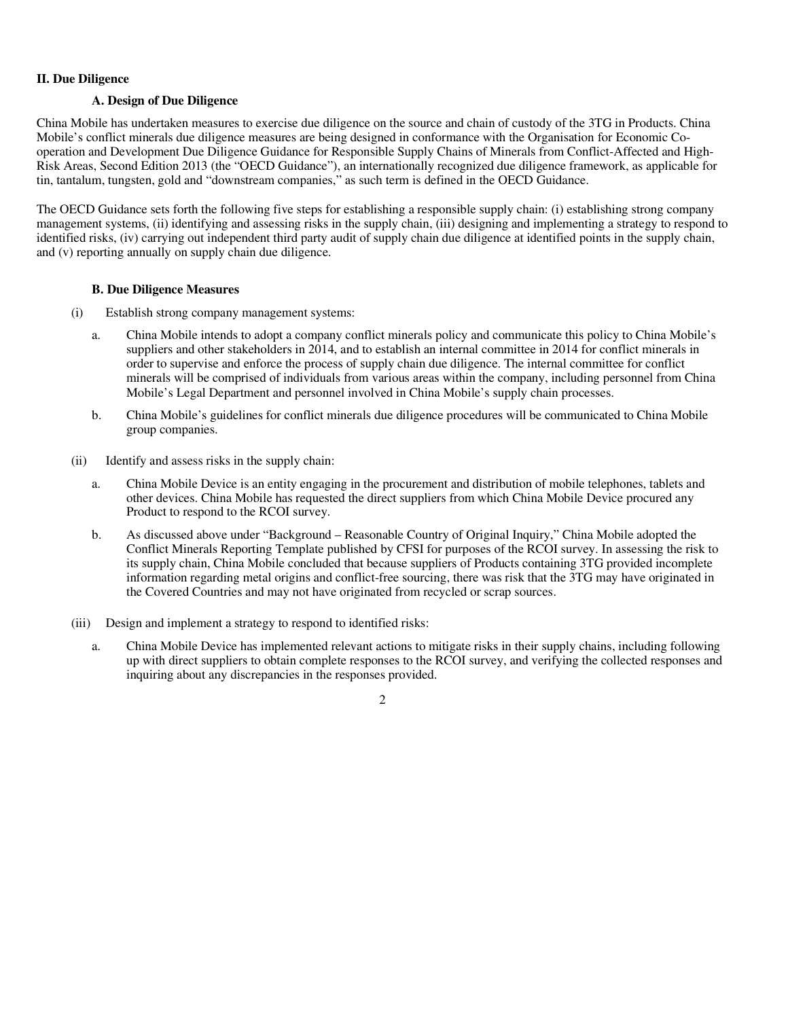#### **II. Due Diligence**

#### **A. Design of Due Diligence**

China Mobile has undertaken measures to exercise due diligence on the source and chain of custody of the 3TG in Products. China Mobile's conflict minerals due diligence measures are being designed in conformance with the Organisation for Economic Cooperation and Development Due Diligence Guidance for Responsible Supply Chains of Minerals from Conflict-Affected and High-Risk Areas, Second Edition 2013 (the "OECD Guidance"), an internationally recognized due diligence framework, as applicable for tin, tantalum, tungsten, gold and "downstream companies," as such term is defined in the OECD Guidance.

The OECD Guidance sets forth the following five steps for establishing a responsible supply chain: (i) establishing strong company management systems, (ii) identifying and assessing risks in the supply chain, (iii) designing and implementing a strategy to respond to identified risks, (iv) carrying out independent third party audit of supply chain due diligence at identified points in the supply chain, and (v) reporting annually on supply chain due diligence.

### **B. Due Diligence Measures**

- (i) Establish strong company management systems:
	- a. China Mobile intends to adopt a company conflict minerals policy and communicate this policy to China Mobile's suppliers and other stakeholders in 2014, and to establish an internal committee in 2014 for conflict minerals in order to supervise and enforce the process of supply chain due diligence. The internal committee for conflict minerals will be comprised of individuals from various areas within the company, including personnel from China Mobile's Legal Department and personnel involved in China Mobile's supply chain processes.
	- b. China Mobile's guidelines for conflict minerals due diligence procedures will be communicated to China Mobile group companies.
- (ii) Identify and assess risks in the supply chain:
	- a. China Mobile Device is an entity engaging in the procurement and distribution of mobile telephones, tablets and other devices. China Mobile has requested the direct suppliers from which China Mobile Device procured any Product to respond to the RCOI survey.
	- b. As discussed above under "Background Reasonable Country of Original Inquiry," China Mobile adopted the Conflict Minerals Reporting Template published by CFSI for purposes of the RCOI survey. In assessing the risk to its supply chain, China Mobile concluded that because suppliers of Products containing 3TG provided incomplete information regarding metal origins and conflict-free sourcing, there was risk that the 3TG may have originated in the Covered Countries and may not have originated from recycled or scrap sources.
- (iii) Design and implement a strategy to respond to identified risks:
	- a. China Mobile Device has implemented relevant actions to mitigate risks in their supply chains, including following up with direct suppliers to obtain complete responses to the RCOI survey, and verifying the collected responses and inquiring about any discrepancies in the responses provided.

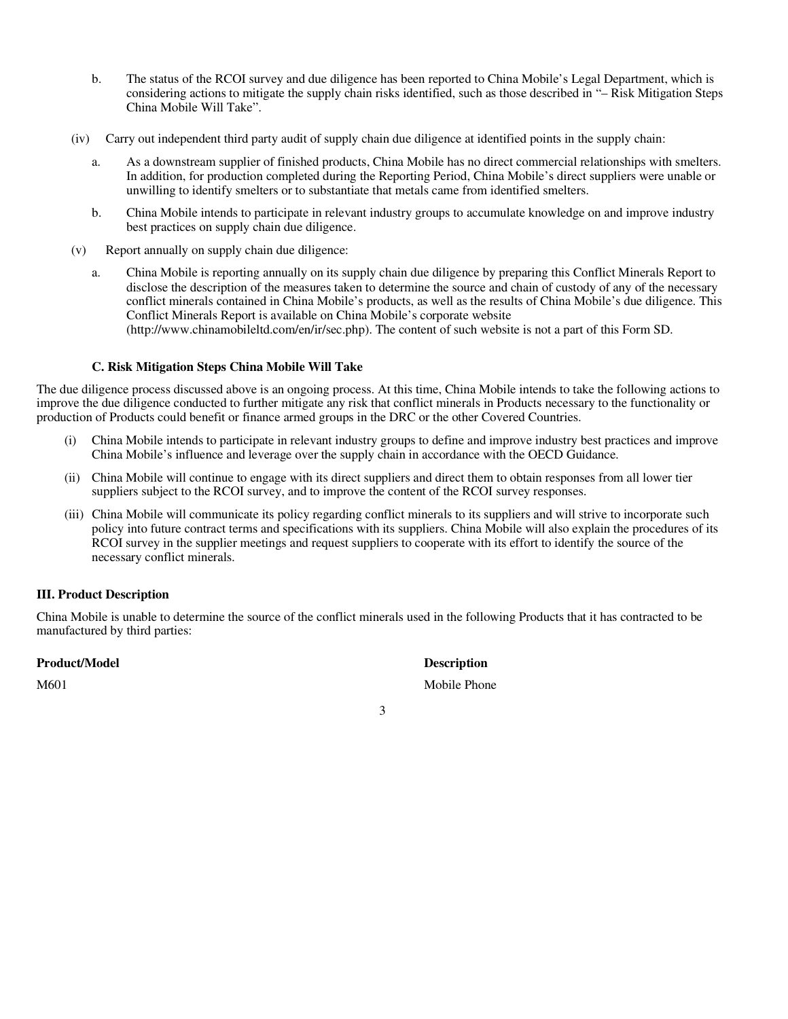- b. The status of the RCOI survey and due diligence has been reported to China Mobile's Legal Department, which is considering actions to mitigate the supply chain risks identified, such as those described in "– Risk Mitigation Steps China Mobile Will Take".
- (iv) Carry out independent third party audit of supply chain due diligence at identified points in the supply chain:
	- a. As a downstream supplier of finished products, China Mobile has no direct commercial relationships with smelters. In addition, for production completed during the Reporting Period, China Mobile's direct suppliers were unable or unwilling to identify smelters or to substantiate that metals came from identified smelters.
	- b. China Mobile intends to participate in relevant industry groups to accumulate knowledge on and improve industry best practices on supply chain due diligence.
- (v) Report annually on supply chain due diligence:
	- a. China Mobile is reporting annually on its supply chain due diligence by preparing this Conflict Minerals Report to disclose the description of the measures taken to determine the source and chain of custody of any of the necessary conflict minerals contained in China Mobile's products, as well as the results of China Mobile's due diligence. This Conflict Minerals Report is available on China Mobile's corporate website (http://www.chinamobileltd.com/en/ir/sec.php). The content of such website is not a part of this Form SD.

#### **C. Risk Mitigation Steps China Mobile Will Take**

The due diligence process discussed above is an ongoing process. At this time, China Mobile intends to take the following actions to improve the due diligence conducted to further mitigate any risk that conflict minerals in Products necessary to the functionality or production of Products could benefit or finance armed groups in the DRC or the other Covered Countries.

- (i) China Mobile intends to participate in relevant industry groups to define and improve industry best practices and improve China Mobile's influence and leverage over the supply chain in accordance with the OECD Guidance.
- (ii) China Mobile will continue to engage with its direct suppliers and direct them to obtain responses from all lower tier suppliers subject to the RCOI survey, and to improve the content of the RCOI survey responses.
- (iii) China Mobile will communicate its policy regarding conflict minerals to its suppliers and will strive to incorporate such policy into future contract terms and specifications with its suppliers. China Mobile will also explain the procedures of its RCOI survey in the supplier meetings and request suppliers to cooperate with its effort to identify the source of the necessary conflict minerals.

### **III. Product Description**

China Mobile is unable to determine the source of the conflict minerals used in the following Products that it has contracted to be manufactured by third parties:

#### **Product/Model Description**

M601 Mobile Phone Mobile Phone Mobile Phone

3